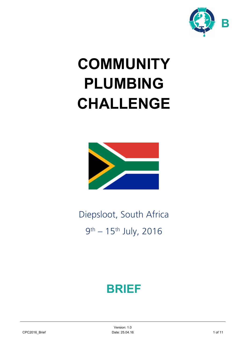

# **COMMUNITY PLUMBING CHALLENGE**



# Diepsloot, South Africa 9th – 15th July, 2016

# **BRIEF**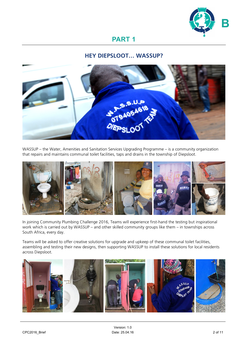

# **HEY DIEPSLOOT… WASSUP?**



WASSUP – the Water, Amenities and Sanitation Services Upgrading Programme – is a community organization that repairs and maintains communal toilet facilities, taps and drains in the township of Diepsloot.



In joining Community Plumbing Challenge 2016, Teams will experience first-hand the testing but inspirational work which is carried out by WASSUP – and other skilled community groups like them – in townships across South Africa, every day.

Teams will be asked to offer creative solutions for upgrade and upkeep of these communal toilet facilities, assembling and testing their new designs, then supporting WASSUP to install these solutions for local residents across Diepsloot.

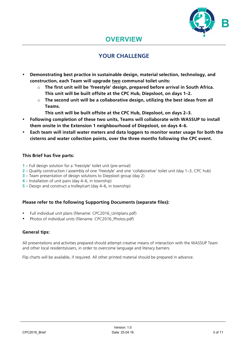

# **OVERVIEW**

# **YOUR CHALLENGE**

- **Demonstrating best practice in sustainable design, material selection, technology, and construction, each Team will upgrade two communal toilet units:**
	- o **The first unit will be 'freestyle' design, prepared before arrival in South Africa. This unit will be built offsite at the CPC Hub, Diepsloot, on days 1–2.**
	- o **The second unit will be a collaborative design, utilizing the best ideas from all Teams.** 
		- **This unit will be built offsite at the CPC Hub, Diepsloot, on days 2–3.**
- **Following completion of these two units, Teams will collaborate with WASSUP to install them onsite in the Extension 1 neighbourhood of Diepsloot, on days 4–6.**
- **Each team will install water meters and data loggers to monitor water usage for both the cisterns and water collection points, over the three months following the CPC event.**

# **This Brief has five parts:**

- **1** Full design solution for a 'freestyle' toilet unit (pre-arrival)
- **2** Quality construction / assembly of one 'freestyle' and one 'collaborative' toilet unit (day 1–3, CPC hub)
- **3** Team presentation of design solutions to Diepsloot group (day 2)
- **4** Installation of unit pairs (day 4–6, in township)
- **5** Design and construct a trolley/cart (day 4–6, in township)

# **Please refer to the following Supporting Documents (separate files):**

- Full individual unit plans (filename: CPC2016\_Unitplans.pdf)
- Photos of individual units (filename: CPC2016\_Photos.pdf)

# **General tips:**

All presentations and activities prepared should attempt creative means of interaction with the WASSUP Team and other local residents/users, in order to overcome language and literacy barriers.

Flip charts will be available, if required. All other printed material should be prepared in advance.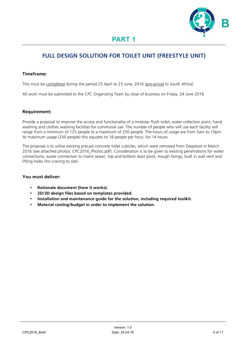

# **FULL DESIGN SOLUTION FOR TOILET UNIT (FREESTYLE UNIT)**

# **Timeframe:**

This must be completed during the period 25 April to 23 June, 2016 (pre-arrival to South Africa).

All work must be submitted to the CPC Organizing Team by close of business on Friday, 24 June 2016.

## **Requirement:**

Provide a proposal to improve the access and functionality of a modular flush toilet, water collection point, hand washing and clothes washing facilities for communal use. The number of people who will use each facility will range from a minimum of 125 people to a maximum of 250 people. The hours of usage are from 5am to 10pm. At maximum usage (250 people) this equates to 18 people per hour, for 14 hours.

The proposal is to utilise existing precast concrete toilet cubicles, which were removed from Diepsloot in March 2016 (see attached photos: CPC2016\_Photos.pdf). Consideration is to be given to existing penetrations for water connections, waste connection to mains sewer, top and bottom door pivot, trough fixings, built in wall vent and lifting holes (for craning to site).

# **You must deliver:**

- **Rationale document (how it works).**
- **2D/3D design files based on templates provided.**
- **Installation and maintenance guide for the solution, including required toolkit.**
- **Material costing/budget in order to implement the solution.**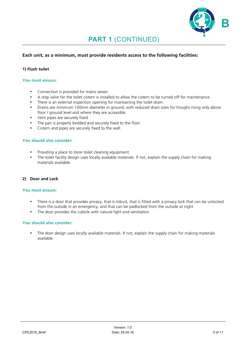

# **PART 1** (CONTINUED)

# **Each unit, as a minimum, must provide residents access to the following facilities:**

# **1) Flush toilet**

#### **You must ensure:**

- Connection is provided for mains sewer.
- A stop valve for the toilet cistern is installed to allow the cistern to be turned off for maintenance.
- There is an external inspection opening for maintaining the toilet drain.
- Drains are minimum 100mm diameter in ground, with reduced drain sizes for troughs rising only above floor / ground level and where they are accessible.
- Vent pipes are securely fixed.
- The pan is properly bedded and securely fixed to the floor.
- Cistern and pipes are securely fixed to the wall.

## **You should also consider:**

- Providing a place to store toilet cleaning equipment.
- The toilet facility design uses locally available materials. If not, explain the supply chain for making materials available.

## **2) Door and Lock**

#### **You must ensure:**

- There is a door that provides privacy, that is robust, that is fitted with a privacy lock that can be unlocked from the outside in an emergency, and that can be padlocked from the outside at night.
- The door provides the cubicle with natural light and ventilation.

#### **You should also consider:**

The door design uses locally available materials. If not, explain the supply chain for making materials available.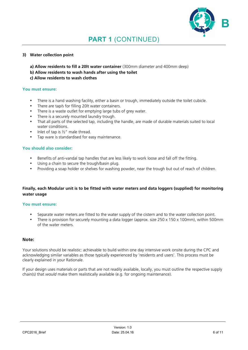

## **3) Water collection point**

- **a) Allow residents to fill a 20lt water container** (300mm diameter and 400mm deep)
- **b) Allow residents to wash hands after using the toilet**

## **c) Allow residents to wash clothes**

## **You must ensure:**

- There is a hand washing facility, either a basin or trough, immediately outside the toilet cubicle.
- There are tap/s for filling 20lt water containers.
- There is a waste outlet for emptying large tubs of grey water.
- There is a securely mounted laundry trough.
- That all parts of the selected tap, including the handle, are made of durable materials suited to local water conditions.
- Inlet of tap is  $1/2$ " male thread.
- Tap ware is standardised for easy maintenance.

#### **You should also consider:**

- Benefits of anti-vandal tap handles that are less likely to work loose and fall off the fitting.
- Using a chain to secure the trough/basin plug.<br>• Providing a soap holder or shelves for washing
- Providing a soap holder or shelves for washing powder, near the trough but out of reach of children.

# **Finally, each Modular unit is to be fitted with water meters and data loggers (supplied) for monitoring water usage**

#### **You must ensure:**

- Separate water meters are fitted to the water supply of the cistern and to the water collection point.
- There is provision for securely mounting a data logger (approx. size 250 x 150 x 100mm), within 500mm of the water meters.

## **Note:**

Your solutions should be realistic: achievable to build within one day intensive work onsite during the CPC and acknowledging similar variables as those typically experienced by 'residents and users'. This process must be clearly explained in your Rationale.

If your design uses materials or parts that are not readily available, locally, you must outline the respective supply chain(s) that *would* make them realistically available (e.g. for ongoing maintenance).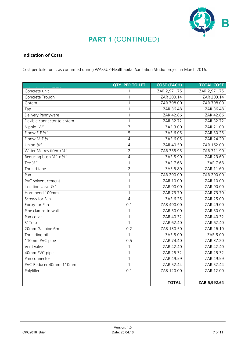

# **Indication of Costs:**

Cost per toilet unit, as confirmed during WASSUP-Healthabitat Sanitation Studio project in March 2016:

|                               | <b>QTY. PER TOILET</b> | <b>COST (EACH)</b> | <b>TOTAL COST</b> |
|-------------------------------|------------------------|--------------------|-------------------|
| Concrete unit                 | 1                      | ZAR 2,971.75       | ZAR 2,971.75      |
| Concrete Trough               | $\mathbf{1}$           | ZAR 203.14         | ZAR 203.14        |
| Cistern                       | 1                      | ZAR 798.00         | ZAR 798.00        |
| Tap                           | 1                      | ZAR 36.48          | ZAR 36.48         |
| Delivery Pennyware            | 1                      | ZAR 42.86          | ZAR 42.86         |
| Flexible connector to cistern | 1                      | ZAR 32.72          | ZAR 32.72         |
| Nipple 1/2"                   | 7                      | ZAR 3.00           | ZAR 21.00         |
| Elbow F-F 1/2"                | 5                      | ZAR 6.05           | ZAR 30.25         |
| Elbow M-F 1/2"                | 4                      | ZAR 6.05           | ZAR 24.20         |
| Union $\frac{3}{4}$ "         | $\overline{4}$         | ZAR 40.50          | ZAR 162.00        |
| Water Metres (Kent) 3/4"      | $\overline{2}$         | ZAR 355.95         | ZAR 711.90        |
| Reducing bush 3/4" x 1/2"     | $\overline{4}$         | ZAR 5.90           | ZAR 23.60         |
| Tee $\frac{1}{2}$ "           | 1                      | ZAR 7.68           | ZAR 7.68          |
| Thread tape                   | $\overline{2}$         | ZAR 5.80           | ZAR 11.60         |
| Pan                           | $\mathbf{1}$           | ZAR 290.00         | ZAR 290.00        |
| PVC solvent cement            | 1                      | ZAR 10.00          | ZAR 10.00         |
| Isolation valve 1/2"          | 1                      | ZAR 90.00          | ZAR 90.00         |
| Horn bend 100mm               | $\mathbf{1}$           | ZAR 73.70          | ZAR 73.70         |
| Screws for Pan                | $\overline{4}$         | ZAR 6.25           | ZAR 25.00         |
| Epoxy for Pan                 | 0.1                    | ZAR 490.00         | ZAR 49.00         |
| Pipe clamps to wall           | 1                      | ZAR 50.00          | ZAR 50.00         |
| Pan collar                    | 1                      | ZAR 40.32          | ZAR 40.32         |
| S' Trap                       | $\mathbf{1}$           | ZAR 62.40          | ZAR 62.40         |
| 20mm Gal pipe 6m              | 0.2                    | ZAR 130.50         | ZAR 26.10         |
| Threading oil                 | $\mathbf{1}$           | ZAR 5.00           | ZAR 5.00          |
| 110mm PVC pipe                | 0.5                    | ZAR 74.40          | ZAR 37.20         |
| Vent valve                    | 1                      | ZAR 42.40          | ZAR 42.40         |
| 40mm PVC pipe                 | $\mathbf{1}$           | ZAR 25.32          | ZAR 25.32         |
| Pan connector                 | 1                      | ZAR 49.59          | ZAR 49.59         |
| PVC Reducer 40mm-110mm        | $\mathbf{1}$           | ZAR 52.44          | ZAR 52.44         |
| Polyfiller                    | 0.1                    | ZAR 120.00         | ZAR 12.00         |
|                               |                        |                    |                   |
|                               |                        | <b>TOTAL</b>       | ZAR 5,992.64      |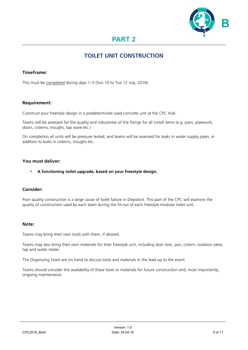

# **TOILET UNIT CONSTRUCTION**

# **Timeframe:**

This must be completed during days 1–3 (Sun 10 to Tue 12 July, 2016).

## **Requirement:**

Construct your freestyle design in a predetermined used concrete unit at the CPC Hub.

Teams will be assessed for the quality and robustness of the fixings for all install items (e.g. pans, pipework, doors, cisterns, troughs, tap ware etc.)

On completion all units will be pressure tested, and teams will be assessed for leaks in water supply pipes, in addition to leaks in cisterns, troughs etc.

## **You must deliver:**

• **A functioning toilet upgrade, based on your freestyle design.**

# **Consider:**

Poor quality construction is a large cause of toilet failure in Diepsloot. This part of the CPC will examine the quality of construction used by each team during the fit-out of each freestyle modular toilet unit.

#### **Note:**

Teams may bring their own tools with them, if desired.

Teams may also bring their own materials for their freestyle unit, including door lock, pan, cistern, isolation valve, tap and water meter.

The Organizing Team are on hand to discuss tools and materials in the lead-up to the event.

Teams should consider the availability of these tools or materials for future construction and, most importantly, ongoing maintenance.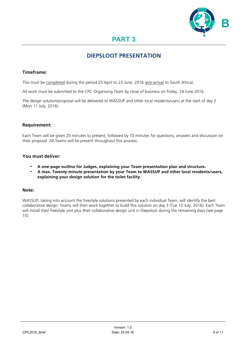

# **DIEPSLOOT PRESENTATION**

# **Timeframe:**

This must be completed during the period 25 April to 23 June, 2016 (pre-arrival to South Africa).

All work must be submitted to the CPC Organising Team by close of business on Friday, 24 June 2016.

The design solution/proposal will be delivered to WASSUP and other local residents/users at the start of day 2 (Mon 11 July, 2016).

# **Requirement:**

Each Team will be given 20 minutes to present, followed by 10 minutes for questions, answers and discussion on their proposal. All Teams will be present throughout this process.

# **You must deliver:**

- **A one-page outline for Judges, explaining your Team presentation plan and structure.**
- **A max. Twenty-minute presentation by your Team to WASSUP and other local residents/users, explaining your design solution for the toilet facility.**

## **Note:**

WASSUP, taking into account the freestyle solutions presented by each individual Team, will identify the best collaborative design. Teams will then work together to build this solution on day 3 (Tue 12 July, 2016). Each Team will install their freestyle unit plus their collaborative design unit in Diepsloot during the remaining days (see page 10).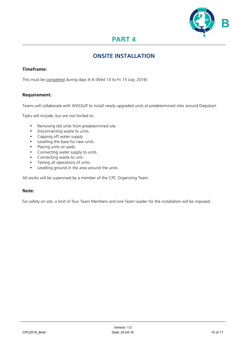

# **ONSITE INSTALLATION**

# **Timeframe:**

This must be completed during days 4–6 (Wed 13 to Fri 15 July, 2016).

# **Requirement:**

Teams will collaborate with WASSUP to install newly upgraded units at predetermined sites around Diepsloot.

Tasks will include, but are not limited to:

- Removing old units from predetermined site.<br>• Disconnecting waste to units
- Disconnecting waste to units.
- Capping off water supply.
- Levelling the base for new units.
- Placing units on pads.
- Connecting water supply to units.
- Connecting waste to unit.<br>• Testing all operations of un
- Testing all operations of units.<br>• Levelling ground in the area are
- Levelling ground in the area around the units.

All works will be supervised by a member of the CPC Organizing Team.

# **Note:**

For safety on site, a limit of four Team Members and one Team Leader for the installation will be imposed.